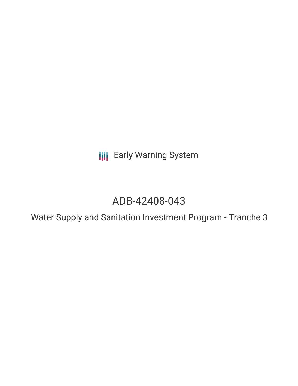**III** Early Warning System

## ADB-42408-043

Water Supply and Sanitation Investment Program - Tranche 3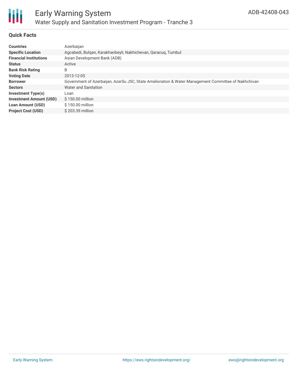

#### **Quick Facts**

| <b>Countries</b>               | Azerbaijan                                                                                          |
|--------------------------------|-----------------------------------------------------------------------------------------------------|
| <b>Specific Location</b>       | Agcabedi, Bulgan, Karakhanbeyli, Nakhichevan, Qaracuq, Tumbul                                       |
| <b>Financial Institutions</b>  | Asian Development Bank (ADB)                                                                        |
| <b>Status</b>                  | Active                                                                                              |
| <b>Bank Risk Rating</b>        | B                                                                                                   |
| <b>Voting Date</b>             | 2013-12-05                                                                                          |
| <b>Borrower</b>                | Government of Azerbaijan, AzerSu JSC, State Amelioration & Water Management Committee of Nakhchivan |
| <b>Sectors</b>                 | Water and Sanitation                                                                                |
| <b>Investment Type(s)</b>      | Loan                                                                                                |
| <b>Investment Amount (USD)</b> | $$150.00$ million                                                                                   |
| <b>Loan Amount (USD)</b>       | $$150.00$ million                                                                                   |
| <b>Project Cost (USD)</b>      | \$203.39 million                                                                                    |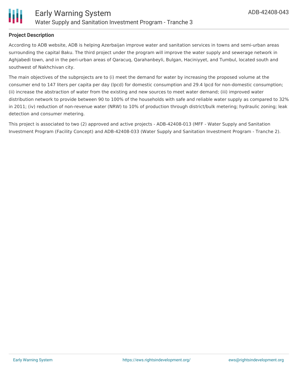

### **Project Description**

According to ADB website, ADB is helping Azerbaijan improve water and sanitation services in towns and semi-urban areas surrounding the capital Baku. The third project under the program will improve the water supply and sewerage network in Aghjabedi town, and in the peri-urban areas of Qaracuq, Qarahanbeyli, Bulgan, Haciniyyet, and Tumbul, located south and southwest of Nakhchivan city.

The main objectives of the subprojects are to (i) meet the demand for water by increasing the proposed volume at the consumer end to 147 liters per capita per day (lpcd) for domestic consumption and 29.4 lpcd for non-domestic consumption; (ii) increase the abstraction of water from the existing and new sources to meet water demand; (iii) improved water distribution network to provide between 90 to 100% of the households with safe and reliable water supply as compared to 32% in 2011; (iv) reduction of non-revenue water (NRW) to 10% of production through district/bulk metering; hydraulic zoning; leak detection and consumer metering.

This project is associated to two (2) approved and active projects - ADB-42408-013 (MFF - Water Supply and Sanitation Investment Program (Facility Concept) and ADB-42408-033 (Water Supply and Sanitation Investment Program - Tranche 2).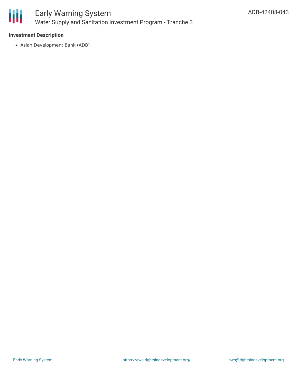

#### **Investment Description**

Asian Development Bank (ADB)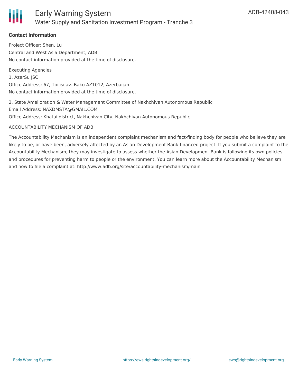

## **Contact Information**

Project Officer: Shen, Lu Central and West Asia Department, ADB No contact information provided at the time of disclosure.

Executing Agencies 1. AzerSu JSC Office Address: 67, Tbilisi av. Baku AZ1012, Azerbaijan No contact information provided at the time of disclosure.

2. State Amelioration & Water Management Committee of Nakhchivan Autonomous Republic Email Address: NAXDMSTA@GMAIL.COM Office Address: Khatai district, Nakhchivan City, Nakhchivan Autonomous Republic

#### ACCOUNTABILITY MECHANISM OF ADB

The Accountability Mechanism is an independent complaint mechanism and fact-finding body for people who believe they are likely to be, or have been, adversely affected by an Asian Development Bank-financed project. If you submit a complaint to the Accountability Mechanism, they may investigate to assess whether the Asian Development Bank is following its own policies and procedures for preventing harm to people or the environment. You can learn more about the Accountability Mechanism and how to file a complaint at: http://www.adb.org/site/accountability-mechanism/main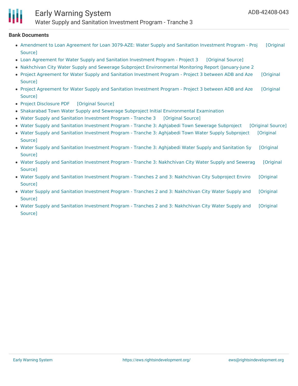

# Early Warning System

Water Supply and Sanitation Investment Program - Tranche 3

#### **Bank Documents**

- [Amendment](https://ewsdata.rightsindevelopment.org/files/documents/43/ADB-42408-043_dwbvoeh.pdf) to Loan Agreement for Loan 3079-AZE: Water Supply and Sanitation Investment Program Proj [Original Source]
- Loan Agreement for Water Supply and Sanitation [Investment](https://ewsdata.rightsindevelopment.org/files/documents/43/ADB-42408-043_A9eaG8d.pdf) Program Project 3 [\[Original](https://www.adb.org/projects/documents/loan-agreement-water-supply-and-sanitation-investment-program-p3) Source]
- Nakhchivan City Water Supply and Sewerage Subproject [Environmental](https://www.adb.org/sites/default/files/project-documents/42408/42408-033-emr-en.pdf) Monitoring Report (January-June 2
- Project Agreement for Water Supply and Sanitation [Investment](https://ewsdata.rightsindevelopment.org/files/documents/43/ADB-42408-043_RjWydts.pdf) Program Project 3 between ADB and Aze [Original] Source]
- Project Agreement for Water Supply and Sanitation [Investment](https://ewsdata.rightsindevelopment.org/files/documents/43/ADB-42408-043_1dI1WGs.pdf) Program Project 3 between ADB and Aze [Original] Source]
- Project [Disclosure](https://ewsdata.rightsindevelopment.org/files/documents/43/ADB-42408-043.pdf) PDF [\[Original](https://www.adb.org/printpdf/projects/42408-043/main) Source]
- Shakarabad Town Water Supply and Sewerage Subproject Initial [Environmental](https://www.adb.org/sites/default/files/project-documents/42408/42408-043-iee-en.pdf) Examination
- Water Supply and Sanitation [Investment](https://ewsdata.rightsindevelopment.org/files/documents/43/ADB-42408-043_xTA0HqE.pdf) Program Tranche 3 [\[Original](https://www.adb.org/projects/documents/water-supply-and-sanitation-investment-program-tranche-3-pp) Source]
- Water Supply and Sanitation [Investment](https://ewsdata.rightsindevelopment.org/files/documents/43/ADB-42408-043_dwsBle3.pdf) Program Tranche 3: Aghjabedi Town Sewerage Subproject [\[Original](https://www.adb.org/projects/documents/water-supply-and-sanitation-investment-program-tranche-3-aghjabedi-sewerage-iee) Source]
- Water Supply and Sanitation [Investment](https://ewsdata.rightsindevelopment.org/files/documents/43/ADB-42408-043_ix26hUu.pdf) Program Tranche 3: Aghjabedi Town Water Supply Subproject [Original Source]
- Water Supply and Sanitation [Investment](https://ewsdata.rightsindevelopment.org/files/documents/43/ADB-42408-043_6RZGGRe.pdf) Program Tranche 3: Aghjabedi Water Supply and Sanitation Sy [Original Source]
- Water Supply and Sanitation Investment Program Tranche 3: [Nakhchivan](https://ewsdata.rightsindevelopment.org/files/documents/43/ADB-42408-043_ivUKRm0.pdf) City Water Supply and Sewerag [Original Source]
- Water Supply and Sanitation Investment Program Tranches 2 and 3: [Nakhchivan](https://ewsdata.rightsindevelopment.org/files/documents/43/ADB-42408-043_JL2jXtn.pdf) City Subproject Enviro [Original Source]
- Water Supply and Sanitation Investment Program Tranches 2 and 3: [Nakhchivan](https://ewsdata.rightsindevelopment.org/files/documents/43/ADB-42408-043_Sn5h8mr.pdf) City Water Supply and [Original Source]
- Water Supply and Sanitation Investment Program Tranches 2 and 3: [Nakhchivan](https://ewsdata.rightsindevelopment.org/files/documents/43/ADB-42408-043_eOWZHaM.pdf) City Water Supply and [Original Source]